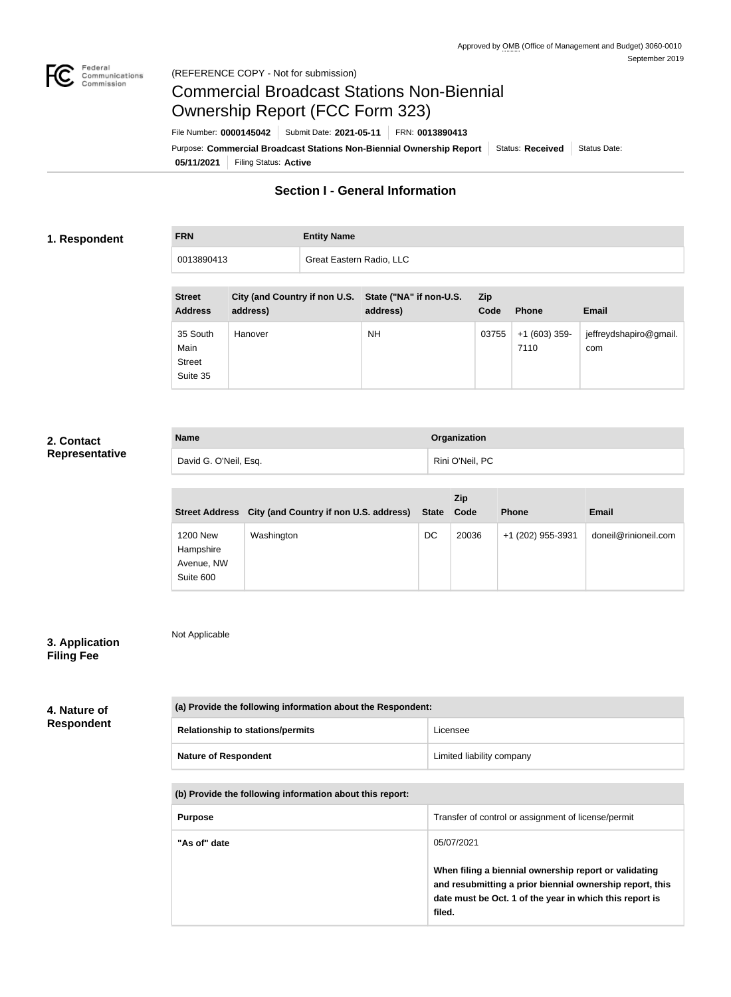7110

jeffreydshapiro@gmail.

com



# Commercial Broadcast Stations Non-Biennial Ownership Report (FCC Form 323)

**05/11/2021** Filing Status: **Active** Purpose: Commercial Broadcast Stations Non-Biennial Ownership Report Status: Received Status Date: File Number: **0000145042** Submit Date: **2021-05-11** FRN: **0013890413**

## **Section I - General Information**

#### **1. Respondent**

**FRN Entity Name**

| 0013890413                      |          | Great Eastern Radio, LLC |                                                                   |                    |              |              |
|---------------------------------|----------|--------------------------|-------------------------------------------------------------------|--------------------|--------------|--------------|
|                                 |          |                          |                                                                   |                    |              |              |
| <b>Street</b><br><b>Address</b> | address) |                          | City (and Country if non U.S. State ("NA" if non-U.S.<br>address) | <b>Zip</b><br>Code | <b>Phone</b> | <b>Email</b> |
|                                 |          |                          |                                                                   |                    |              |              |

Hanover NH NH 03755 +1 (603) 359-

| 2. Contact |  |
|------------|--|
|            |  |

```
Representative
```

| <b>Name</b>           | Organization    |
|-----------------------|-----------------|
| David G. O'Neil, Esq. | Rini O'Neil, PC |

|                                                         |                                        |              | <b>Zip</b> |                   |                      |
|---------------------------------------------------------|----------------------------------------|--------------|------------|-------------------|----------------------|
| <b>Street Address</b>                                   | City (and Country if non U.S. address) | <b>State</b> | Code       | <b>Phone</b>      | <b>Email</b>         |
| <b>1200 New</b><br>Hampshire<br>Avenue, NW<br>Suite 600 | Washington                             | DC           | 20036      | +1 (202) 955-3931 | doneil@rinioneil.com |

# **3. Application**

Not Applicable

35 South Main Street Suite 35

# **Filing Fee**

#### **4. Nature of Respondent**

| (a) Provide the following information about the Respondent: |                           |  |
|-------------------------------------------------------------|---------------------------|--|
| <b>Relationship to stations/permits</b>                     | Licensee                  |  |
| <b>Nature of Respondent</b>                                 | Limited liability company |  |

#### **(b) Provide the following information about this report:**

| <b>Purpose</b> | Transfer of control or assignment of license/permit                                                                                                                                    |
|----------------|----------------------------------------------------------------------------------------------------------------------------------------------------------------------------------------|
| "As of" date   | 05/07/2021                                                                                                                                                                             |
|                | When filing a biennial ownership report or validating<br>and resubmitting a prior biennial ownership report, this<br>date must be Oct. 1 of the year in which this report is<br>filed. |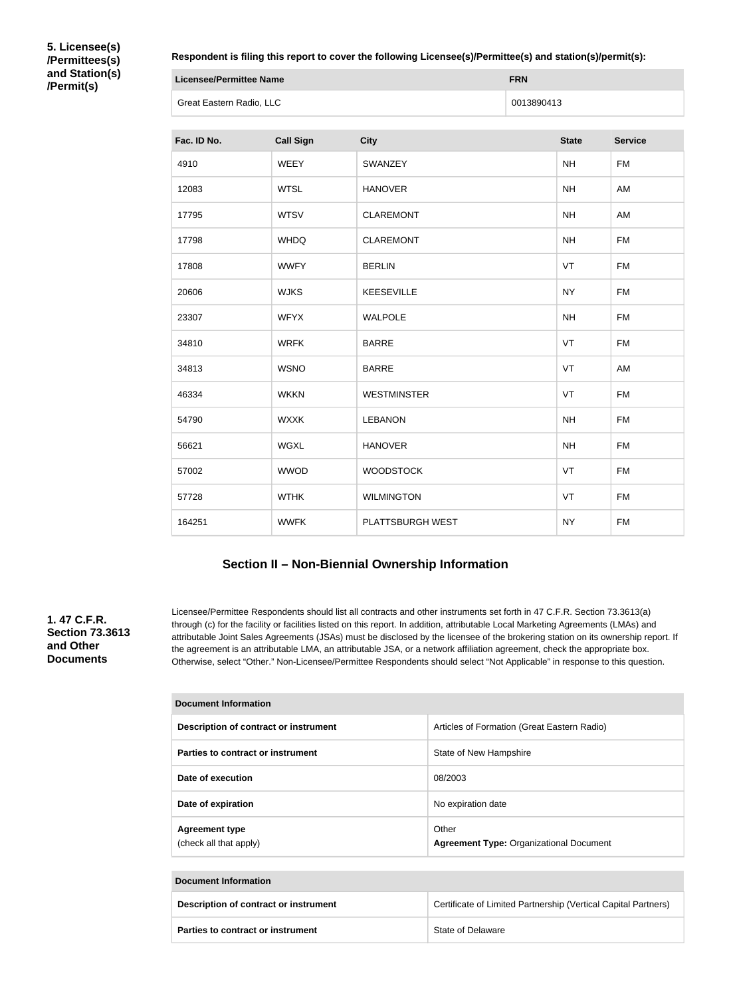**5. Licensee(s) /Permittees(s) and Station(s) /Permit(s)**

#### **Respondent is filing this report to cover the following Licensee(s)/Permittee(s) and station(s)/permit(s):**

| Licensee/Permittee Name  | <b>FRN</b> |
|--------------------------|------------|
| Great Eastern Radio, LLC | 0013890413 |

| Fac. ID No. | <b>Call Sign</b> | <b>City</b>        | <b>State</b> | <b>Service</b> |
|-------------|------------------|--------------------|--------------|----------------|
| 4910        | <b>WEEY</b>      | SWANZEY            | <b>NH</b>    | <b>FM</b>      |
| 12083       | <b>WTSL</b>      | <b>HANOVER</b>     | <b>NH</b>    | AM             |
| 17795       | <b>WTSV</b>      | <b>CLAREMONT</b>   | <b>NH</b>    | AM             |
| 17798       | <b>WHDQ</b>      | <b>CLAREMONT</b>   | <b>NH</b>    | <b>FM</b>      |
| 17808       | <b>WWFY</b>      | <b>BERLIN</b>      | VT           | <b>FM</b>      |
| 20606       | <b>WJKS</b>      | <b>KEESEVILLE</b>  | <b>NY</b>    | <b>FM</b>      |
| 23307       | <b>WFYX</b>      | <b>WALPOLE</b>     | <b>NH</b>    | <b>FM</b>      |
| 34810       | <b>WRFK</b>      | <b>BARRE</b>       | VT           | <b>FM</b>      |
| 34813       | <b>WSNO</b>      | <b>BARRE</b>       | VT           | AM             |
| 46334       | <b>WKKN</b>      | <b>WESTMINSTER</b> | VT           | <b>FM</b>      |
| 54790       | <b>WXXK</b>      | <b>LEBANON</b>     | <b>NH</b>    | <b>FM</b>      |
| 56621       | <b>WGXL</b>      | <b>HANOVER</b>     | <b>NH</b>    | <b>FM</b>      |
| 57002       | <b>WWOD</b>      | <b>WOODSTOCK</b>   | VT           | <b>FM</b>      |
| 57728       | <b>WTHK</b>      | <b>WILMINGTON</b>  | VT           | <b>FM</b>      |
| 164251      | <b>WWFK</b>      | PLATTSBURGH WEST   | <b>NY</b>    | <b>FM</b>      |

## **Section II – Non-Biennial Ownership Information**

**1. 47 C.F.R. Section 73.3613 and Other Documents**

Licensee/Permittee Respondents should list all contracts and other instruments set forth in 47 C.F.R. Section 73.3613(a) through (c) for the facility or facilities listed on this report. In addition, attributable Local Marketing Agreements (LMAs) and attributable Joint Sales Agreements (JSAs) must be disclosed by the licensee of the brokering station on its ownership report. If the agreement is an attributable LMA, an attributable JSA, or a network affiliation agreement, check the appropriate box. Otherwise, select "Other." Non-Licensee/Permittee Respondents should select "Not Applicable" in response to this question.

| Document Information                            |                                                         |  |
|-------------------------------------------------|---------------------------------------------------------|--|
| Description of contract or instrument           | Articles of Formation (Great Eastern Radio)             |  |
| Parties to contract or instrument               | State of New Hampshire                                  |  |
| Date of execution                               | 08/2003                                                 |  |
| Date of expiration                              | No expiration date                                      |  |
| <b>Agreement type</b><br>(check all that apply) | Other<br><b>Agreement Type: Organizational Document</b> |  |

#### **Document Information**

| Description of contract or instrument | Certificate of Limited Partnership (Vertical Capital Partners) |
|---------------------------------------|----------------------------------------------------------------|
| Parties to contract or instrument     | State of Delaware                                              |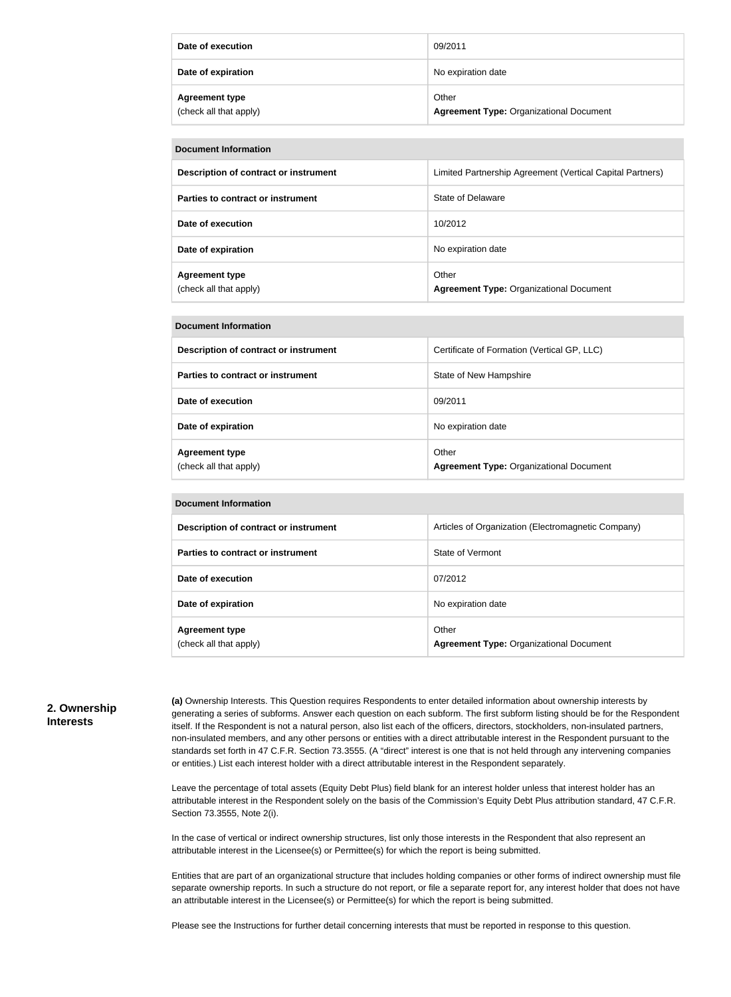| Date of execution                               | 09/2011                                                 |
|-------------------------------------------------|---------------------------------------------------------|
| Date of expiration                              | No expiration date                                      |
| <b>Agreement type</b><br>(check all that apply) | Other<br><b>Agreement Type: Organizational Document</b> |

| <b>Document Information</b>                     |                                                           |  |  |
|-------------------------------------------------|-----------------------------------------------------------|--|--|
| Description of contract or instrument           | Limited Partnership Agreement (Vertical Capital Partners) |  |  |
| Parties to contract or instrument               | State of Delaware                                         |  |  |
| Date of execution                               | 10/2012                                                   |  |  |
| Date of expiration                              | No expiration date                                        |  |  |
| <b>Agreement type</b><br>(check all that apply) | Other<br><b>Agreement Type: Organizational Document</b>   |  |  |

| <b>Document Information</b>                     |                                                         |
|-------------------------------------------------|---------------------------------------------------------|
| Description of contract or instrument           | Certificate of Formation (Vertical GP, LLC)             |
| Parties to contract or instrument               | State of New Hampshire                                  |
| Date of execution                               | 09/2011                                                 |
| Date of expiration                              | No expiration date                                      |
| <b>Agreement type</b><br>(check all that apply) | Other<br><b>Agreement Type: Organizational Document</b> |

| <b>Document Information</b> |
|-----------------------------|
|                             |

**Document Information**

| Description of contract or instrument           | Articles of Organization (Electromagnetic Company)      |
|-------------------------------------------------|---------------------------------------------------------|
| Parties to contract or instrument               | State of Vermont                                        |
| Date of execution                               | 07/2012                                                 |
| Date of expiration                              | No expiration date                                      |
| <b>Agreement type</b><br>(check all that apply) | Other<br><b>Agreement Type: Organizational Document</b> |

#### **2. Ownership Interests**

**(a)** Ownership Interests. This Question requires Respondents to enter detailed information about ownership interests by generating a series of subforms. Answer each question on each subform. The first subform listing should be for the Respondent itself. If the Respondent is not a natural person, also list each of the officers, directors, stockholders, non-insulated partners, non-insulated members, and any other persons or entities with a direct attributable interest in the Respondent pursuant to the standards set forth in 47 C.F.R. Section 73.3555. (A "direct" interest is one that is not held through any intervening companies or entities.) List each interest holder with a direct attributable interest in the Respondent separately.

Leave the percentage of total assets (Equity Debt Plus) field blank for an interest holder unless that interest holder has an attributable interest in the Respondent solely on the basis of the Commission's Equity Debt Plus attribution standard, 47 C.F.R. Section 73.3555, Note 2(i).

In the case of vertical or indirect ownership structures, list only those interests in the Respondent that also represent an attributable interest in the Licensee(s) or Permittee(s) for which the report is being submitted.

Entities that are part of an organizational structure that includes holding companies or other forms of indirect ownership must file separate ownership reports. In such a structure do not report, or file a separate report for, any interest holder that does not have an attributable interest in the Licensee(s) or Permittee(s) for which the report is being submitted.

Please see the Instructions for further detail concerning interests that must be reported in response to this question.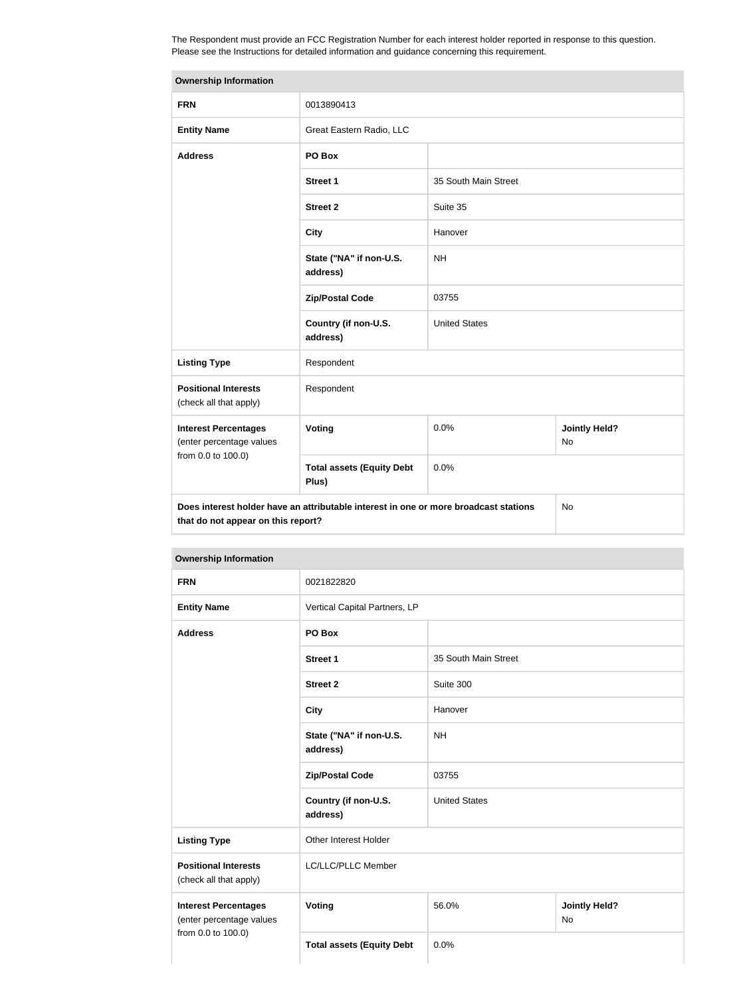The Respondent must provide an FCC Registration Number for each interest holder reported in response to this question. Please see the Instructions for detailed information and guidance concerning this requirement.

| <b>Ownership Information</b>                                                                                                            |                                           |                      |                                   |
|-----------------------------------------------------------------------------------------------------------------------------------------|-------------------------------------------|----------------------|-----------------------------------|
| <b>FRN</b>                                                                                                                              | 0013890413                                |                      |                                   |
| <b>Entity Name</b>                                                                                                                      | Great Eastern Radio, LLC                  |                      |                                   |
| <b>Address</b>                                                                                                                          | PO Box                                    |                      |                                   |
|                                                                                                                                         | <b>Street 1</b>                           | 35 South Main Street |                                   |
|                                                                                                                                         | <b>Street 2</b>                           | Suite 35             |                                   |
|                                                                                                                                         | <b>City</b>                               | Hanover              |                                   |
|                                                                                                                                         | State ("NA" if non-U.S.<br>address)       | <b>NH</b>            |                                   |
|                                                                                                                                         | <b>Zip/Postal Code</b>                    | 03755                |                                   |
|                                                                                                                                         | Country (if non-U.S.<br>address)          | <b>United States</b> |                                   |
| <b>Listing Type</b>                                                                                                                     | Respondent                                |                      |                                   |
| <b>Positional Interests</b><br>(check all that apply)                                                                                   | Respondent                                |                      |                                   |
| <b>Interest Percentages</b><br>(enter percentage values                                                                                 | Voting                                    | 0.0%                 | <b>Jointly Held?</b><br><b>No</b> |
| from 0.0 to 100.0)                                                                                                                      | <b>Total assets (Equity Debt</b><br>Plus) | 0.0%                 |                                   |
| Does interest holder have an attributable interest in one or more broadcast stations<br><b>No</b><br>that do not appear on this report? |                                           |                      |                                   |

| <b>Ownership Information</b>                                                  |                                     |                      |                            |
|-------------------------------------------------------------------------------|-------------------------------------|----------------------|----------------------------|
| <b>FRN</b>                                                                    | 0021822820                          |                      |                            |
| <b>Entity Name</b>                                                            | Vertical Capital Partners, LP       |                      |                            |
| <b>Address</b>                                                                | PO Box                              |                      |                            |
|                                                                               | <b>Street 1</b>                     | 35 South Main Street |                            |
|                                                                               | <b>Street 2</b>                     | Suite 300            |                            |
|                                                                               | <b>City</b>                         | Hanover              |                            |
|                                                                               | State ("NA" if non-U.S.<br>address) | <b>NH</b>            |                            |
|                                                                               | <b>Zip/Postal Code</b>              | 03755                |                            |
|                                                                               | Country (if non-U.S.<br>address)    | <b>United States</b> |                            |
| <b>Listing Type</b>                                                           | Other Interest Holder               |                      |                            |
| <b>Positional Interests</b><br>(check all that apply)                         | LC/LLC/PLLC Member                  |                      |                            |
| <b>Interest Percentages</b><br>(enter percentage values<br>from 0.0 to 100.0) | <b>Voting</b>                       | 56.0%                | <b>Jointly Held?</b><br>No |
|                                                                               | <b>Total assets (Equity Debt</b>    | 0.0%                 |                            |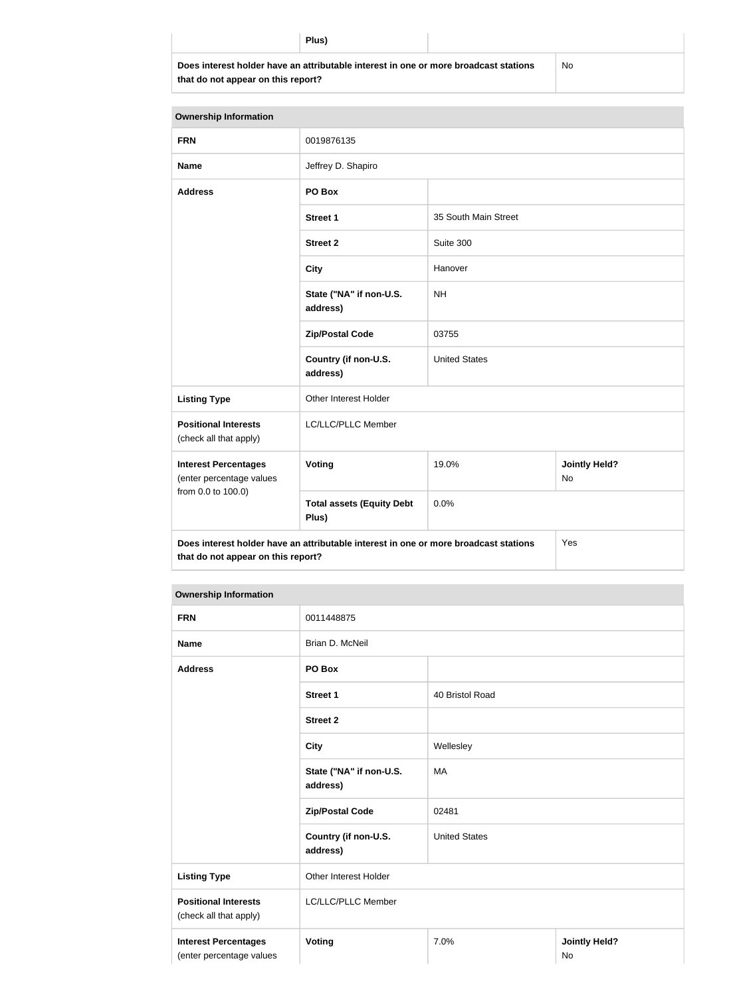| ΊH<br>÷<br>ĸ |
|--------------|
|--------------|

**Does interest holder have an attributable interest in one or more broadcast stations that do not appear on this report?**

No

| <b>Ownership Information</b>                            |                                                                                      |                      |                                   |  |
|---------------------------------------------------------|--------------------------------------------------------------------------------------|----------------------|-----------------------------------|--|
| <b>FRN</b>                                              | 0019876135                                                                           |                      |                                   |  |
| <b>Name</b>                                             | Jeffrey D. Shapiro                                                                   |                      |                                   |  |
| <b>Address</b>                                          | PO Box                                                                               |                      |                                   |  |
|                                                         | <b>Street 1</b>                                                                      | 35 South Main Street |                                   |  |
|                                                         | <b>Street 2</b>                                                                      | Suite 300            |                                   |  |
|                                                         | <b>City</b>                                                                          | Hanover              |                                   |  |
|                                                         | State ("NA" if non-U.S.<br>address)                                                  | <b>NH</b>            |                                   |  |
|                                                         | <b>Zip/Postal Code</b>                                                               | 03755                |                                   |  |
|                                                         | Country (if non-U.S.<br>address)                                                     | <b>United States</b> |                                   |  |
| <b>Listing Type</b>                                     | Other Interest Holder                                                                |                      |                                   |  |
| <b>Positional Interests</b><br>(check all that apply)   | LC/LLC/PLLC Member                                                                   |                      |                                   |  |
| <b>Interest Percentages</b><br>(enter percentage values | Voting                                                                               | 19.0%                | <b>Jointly Held?</b><br><b>No</b> |  |
| from 0.0 to 100.0)                                      | <b>Total assets (Equity Debt</b><br>Plus)                                            | 0.0%                 |                                   |  |
| that do not appear on this report?                      | Does interest holder have an attributable interest in one or more broadcast stations |                      | Yes                               |  |

#### **Ownership Information**

| <b>FRN</b>                                              | 0011448875                          |                      |                            |
|---------------------------------------------------------|-------------------------------------|----------------------|----------------------------|
| <b>Name</b>                                             | Brian D. McNeil                     |                      |                            |
| <b>Address</b>                                          | PO Box                              |                      |                            |
|                                                         | <b>Street 1</b>                     | 40 Bristol Road      |                            |
|                                                         | <b>Street 2</b>                     |                      |                            |
|                                                         | <b>City</b>                         | Wellesley            |                            |
|                                                         | State ("NA" if non-U.S.<br>address) | MA                   |                            |
|                                                         | <b>Zip/Postal Code</b>              | 02481                |                            |
|                                                         | Country (if non-U.S.<br>address)    | <b>United States</b> |                            |
| <b>Listing Type</b>                                     | Other Interest Holder               |                      |                            |
| <b>Positional Interests</b><br>(check all that apply)   | LC/LLC/PLLC Member                  |                      |                            |
| <b>Interest Percentages</b><br>(enter percentage values | <b>Voting</b>                       | 7.0%                 | <b>Jointly Held?</b><br>No |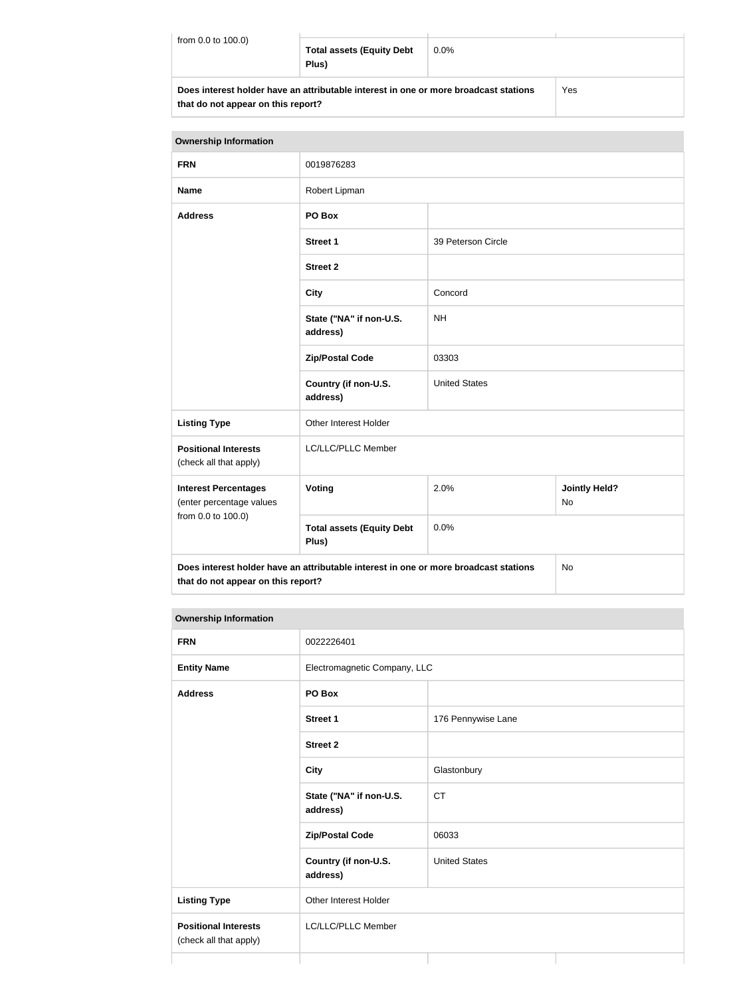| from 0.0 to 100.0)                                                                                                         | <b>Total assets (Equity Debt</b><br>Plus) | $0.0\%$ |  |
|----------------------------------------------------------------------------------------------------------------------------|-------------------------------------------|---------|--|
| Does interest holder have an attributable interest in one or more broadcast stations<br>that do not appear on this report? |                                           | Yes     |  |

| <b>Ownership Information</b>                            |                                                                                      |                                           |    |  |
|---------------------------------------------------------|--------------------------------------------------------------------------------------|-------------------------------------------|----|--|
| <b>FRN</b>                                              | 0019876283                                                                           |                                           |    |  |
| <b>Name</b>                                             | Robert Lipman                                                                        |                                           |    |  |
| <b>Address</b>                                          | PO Box                                                                               |                                           |    |  |
|                                                         | <b>Street 1</b>                                                                      | 39 Peterson Circle                        |    |  |
|                                                         | <b>Street 2</b>                                                                      |                                           |    |  |
|                                                         | <b>City</b>                                                                          | Concord                                   |    |  |
|                                                         | State ("NA" if non-U.S.<br>address)                                                  | <b>NH</b>                                 |    |  |
|                                                         | <b>Zip/Postal Code</b>                                                               | 03303                                     |    |  |
|                                                         | Country (if non-U.S.<br>address)                                                     | <b>United States</b>                      |    |  |
| <b>Listing Type</b>                                     | Other Interest Holder                                                                |                                           |    |  |
| <b>Positional Interests</b><br>(check all that apply)   | LC/LLC/PLLC Member                                                                   |                                           |    |  |
| <b>Interest Percentages</b><br>(enter percentage values | Voting                                                                               | 2.0%<br><b>Jointly Held?</b><br><b>No</b> |    |  |
| from 0.0 to 100.0)                                      | <b>Total assets (Equity Debt</b><br>Plus)                                            | 0.0%                                      |    |  |
| that do not appear on this report?                      | Does interest holder have an attributable interest in one or more broadcast stations |                                           | No |  |

#### **Ownership Information**

| <b>FRN</b>                                            | 0022226401                          |                      |
|-------------------------------------------------------|-------------------------------------|----------------------|
| <b>Entity Name</b>                                    | Electromagnetic Company, LLC        |                      |
| <b>Address</b>                                        | PO Box                              |                      |
|                                                       | <b>Street 1</b>                     | 176 Pennywise Lane   |
|                                                       | <b>Street 2</b>                     |                      |
|                                                       | <b>City</b>                         | Glastonbury          |
|                                                       | State ("NA" if non-U.S.<br>address) | <b>CT</b>            |
|                                                       | <b>Zip/Postal Code</b>              | 06033                |
|                                                       | Country (if non-U.S.<br>address)    | <b>United States</b> |
| <b>Listing Type</b>                                   | Other Interest Holder               |                      |
| <b>Positional Interests</b><br>(check all that apply) | LC/LLC/PLLC Member                  |                      |
|                                                       |                                     |                      |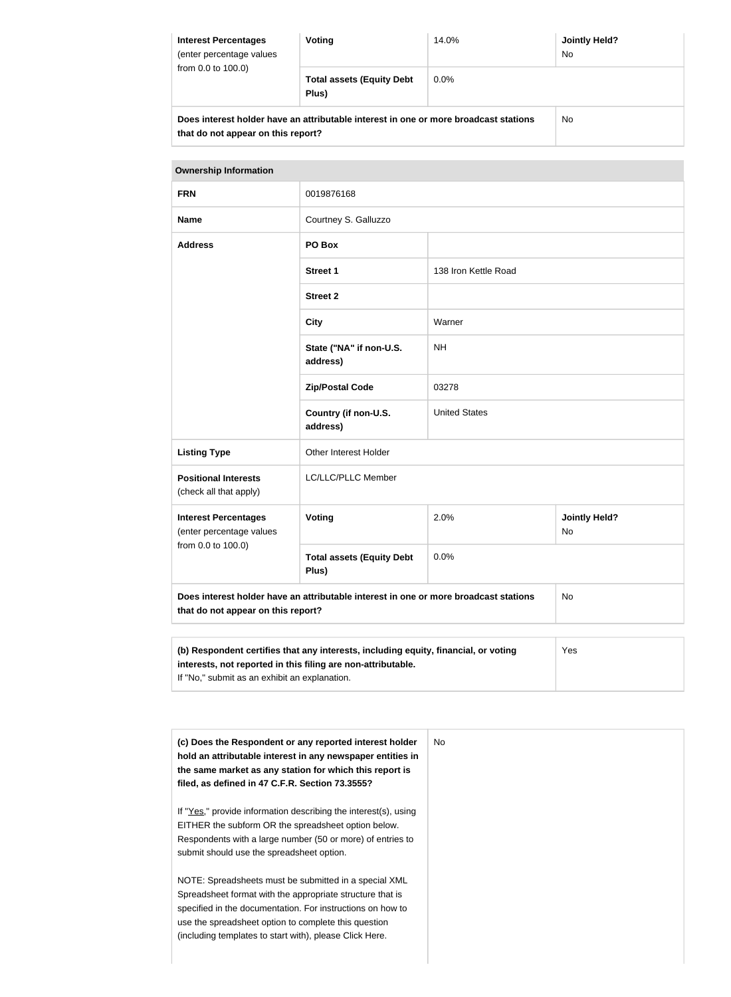| <b>Interest Percentages</b><br>(enter percentage values)<br>from $0.0$ to $100.0$ )                                        | Voting                                    | 14.0%   | Jointly Held?<br>No. |
|----------------------------------------------------------------------------------------------------------------------------|-------------------------------------------|---------|----------------------|
|                                                                                                                            | <b>Total assets (Equity Debt</b><br>Plus) | $0.0\%$ |                      |
| Does interest holder have an attributable interest in one or more broadcast stations<br>that do not appear on this report? |                                           |         | No                   |

| <b>Ownership Information</b>                                                                                                                        |                                           |                      |                            |  |  |
|-----------------------------------------------------------------------------------------------------------------------------------------------------|-------------------------------------------|----------------------|----------------------------|--|--|
| <b>FRN</b>                                                                                                                                          | 0019876168                                |                      |                            |  |  |
| <b>Name</b>                                                                                                                                         | Courtney S. Galluzzo                      |                      |                            |  |  |
| <b>Address</b>                                                                                                                                      | PO Box                                    |                      |                            |  |  |
|                                                                                                                                                     | <b>Street 1</b>                           | 138 Iron Kettle Road |                            |  |  |
|                                                                                                                                                     | <b>Street 2</b>                           |                      |                            |  |  |
|                                                                                                                                                     | <b>City</b>                               | Warner               |                            |  |  |
|                                                                                                                                                     | State ("NA" if non-U.S.<br>address)       | <b>NH</b>            |                            |  |  |
|                                                                                                                                                     | <b>Zip/Postal Code</b>                    | 03278                |                            |  |  |
|                                                                                                                                                     | Country (if non-U.S.<br>address)          | <b>United States</b> |                            |  |  |
| <b>Listing Type</b>                                                                                                                                 | Other Interest Holder                     |                      |                            |  |  |
| <b>Positional Interests</b><br>(check all that apply)                                                                                               | LC/LLC/PLLC Member                        |                      |                            |  |  |
| <b>Interest Percentages</b><br>(enter percentage values                                                                                             | Voting                                    | 2.0%                 | <b>Jointly Held?</b><br>No |  |  |
| from 0.0 to 100.0)                                                                                                                                  | <b>Total assets (Equity Debt</b><br>Plus) | 0.0%                 |                            |  |  |
| Does interest holder have an attributable interest in one or more broadcast stations<br>that do not appear on this report?                          | <b>No</b>                                 |                      |                            |  |  |
|                                                                                                                                                     |                                           |                      |                            |  |  |
| (b) Respondent certifies that any interests, including equity, financial, or voting<br>interests, not reported in this filing are non-attributable. | Yes                                       |                      |                            |  |  |

| (c) Does the Respondent or any reported interest holder<br>hold an attributable interest in any newspaper entities in<br>the same market as any station for which this report is<br>filed, as defined in 47 C.F.R. Section 73.3555?                                                                 | No. |
|-----------------------------------------------------------------------------------------------------------------------------------------------------------------------------------------------------------------------------------------------------------------------------------------------------|-----|
| If "Yes," provide information describing the interest(s), using<br>EITHER the subform OR the spreadsheet option below.<br>Respondents with a large number (50 or more) of entries to<br>submit should use the spreadsheet option.                                                                   |     |
| NOTE: Spreadsheets must be submitted in a special XML<br>Spreadsheet format with the appropriate structure that is<br>specified in the documentation. For instructions on how to<br>use the spreadsheet option to complete this question<br>(including templates to start with), please Click Here. |     |

If "No," submit as an exhibit an explanation.